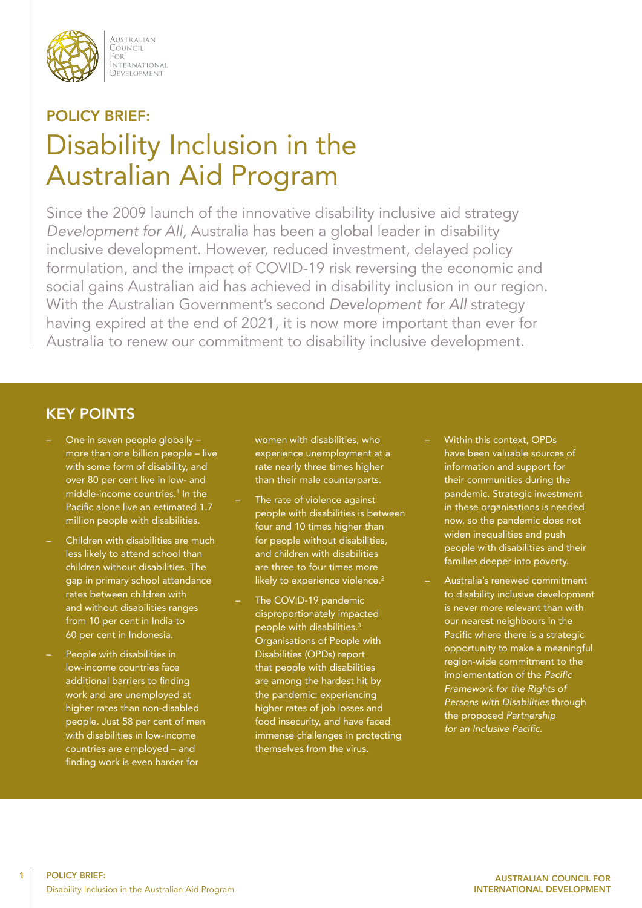

AUSTRALIAN COUNCIL FOR i ote<br>International DEVELOPMENT

# POLICY BRIEF: Disability Inclusion in the Australian Aid Program

Since the 2009 launch of the innovative disability inclusive aid strategy *Development for All,* Australia has been a global leader in disability inclusive development. However, reduced investment, delayed policy formulation, and the impact of COVID-19 risk reversing the economic and social gains Australian aid has achieved in disability inclusion in our region. With the Australian Government's second Development for All strategy having expired at the end of 2021, it is now more important than ever for Australia to renew our commitment to disability inclusive development.

# KEY POINTS

- One in seven people globally more than one billion people – live with some form of disability, and over 80 per cent live in low- and middle-income countries.<sup>1</sup> In the Pacific alone live an estimated 1.7 million people with disabilities.
- Children with disabilities are much less likely to attend school than children without disabilities. The gap in primary school attendance rates between children with and without disabilities ranges from 10 per cent in India to 60 per cent in Indonesia.
- People with disabilities in low-income countries face additional barriers to finding work and are unemployed at higher rates than non-disabled people. Just 58 per cent of men with disabilities in low-income countries are employed – and finding work is even harder for

women with disabilities, who experience unemployment at a rate nearly three times higher than their male counterparts.

- The rate of violence against people with disabilities is between four and 10 times higher than for people without disabilities, and children with disabilities are three to four times more likely to experience violence.<sup>2</sup>
- The COVID-19 pandemic disproportionately impacted people with disabilities.3 Organisations of People with Disabilities (OPDs) report that people with disabilities are among the hardest hit by the pandemic: experiencing higher rates of job losses and food insecurity, and have faced immense challenges in protecting themselves from the virus.
- Within this context, OPDs have been valuable sources of information and support for their communities during the pandemic. Strategic investment in these organisations is needed now, so the pandemic does not widen inequalities and push people with disabilities and their families deeper into poverty.
- Australia's renewed commitment to disability inclusive development is never more relevant than with our nearest neighbours in the Pacific where there is a strategic opportunity to make a meaningful region-wide commitment to the implementation of the Pacific Framework for the Rights of Persons with Disabilities through the proposed Partnership for an Inclusive Pacific.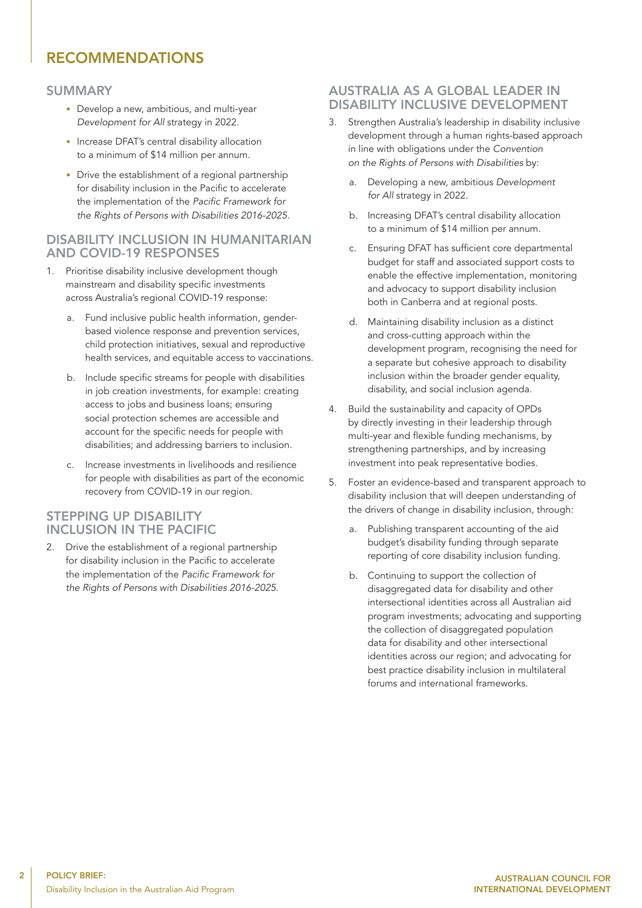# RECOMMENDATIONS

#### SUMMARY

- Develop a new, ambitious, and multi-year *Development for All* strategy in 2022.
- Increase DFAT's central disability allocation to a minimum of \$14 million per annum.
- Drive the establishment of a regional partnership for disability inclusion in the Pacific to accelerate the implementation of the Pacific Framework for the Rights of Persons with Disabilities 2016-2025.

#### DISABILITY INCLUSION IN HUMANITARIAN AND COVID-19 RESPONSES

- 1. Prioritise disability inclusive development though mainstream and disability specific investments across Australia's regional COVID-19 response:
	- a. Fund inclusive public health information, genderbased violence response and prevention services, child protection initiatives, sexual and reproductive health services, and equitable access to vaccinations.
	- b. Include specific streams for people with disabilities in job creation investments, for example: creating access to jobs and business loans; ensuring social protection schemes are accessible and account for the specific needs for people with disabilities; and addressing barriers to inclusion.
	- c. Increase investments in livelihoods and resilience for people with disabilities as part of the economic recovery from COVID-19 in our region.

### STEPPING UP DISABILITY INCLUSION IN THE PACIFIC

2. Drive the establishment of a regional partnership for disability inclusion in the Pacific to accelerate the implementation of the Pacific Framework for the Rights of Persons with Disabilities 2016-2025.

#### AUSTRALIA AS A GLOBAL LEADER IN DISABILITY INCLUSIVE DEVELOPMENT

- 3. Strengthen Australia's leadership in disability inclusive development through a human rights-based approach in line with obligations under the *Convention*  on the Rights of Persons with Disabilities by:
	- a. Developing a new, ambitious *Development for All* strategy in 2022.
	- b. Increasing DFAT's central disability allocation to a minimum of \$14 million per annum.
	- c. Ensuring DFAT has sufficient core departmental budget for staff and associated support costs to enable the effective implementation, monitoring and advocacy to support disability inclusion both in Canberra and at regional posts.
	- d. Maintaining disability inclusion as a distinct and cross-cutting approach within the development program, recognising the need for a separate but cohesive approach to disability inclusion within the broader gender equality, disability, and social inclusion agenda.
- 4. Build the sustainability and capacity of OPDs by directly investing in their leadership through multi-year and flexible funding mechanisms, by strengthening partnerships, and by increasing investment into peak representative bodies.
- 5. Foster an evidence-based and transparent approach to disability inclusion that will deepen understanding of the drivers of change in disability inclusion, through:
	- a. Publishing transparent accounting of the aid budget's disability funding through separate reporting of core disability inclusion funding.
	- b. Continuing to support the collection of disaggregated data for disability and other intersectional identities across all Australian aid program investments; advocating and supporting the collection of disaggregated population data for disability and other intersectional identities across our region; and advocating for best practice disability inclusion in multilateral forums and international frameworks.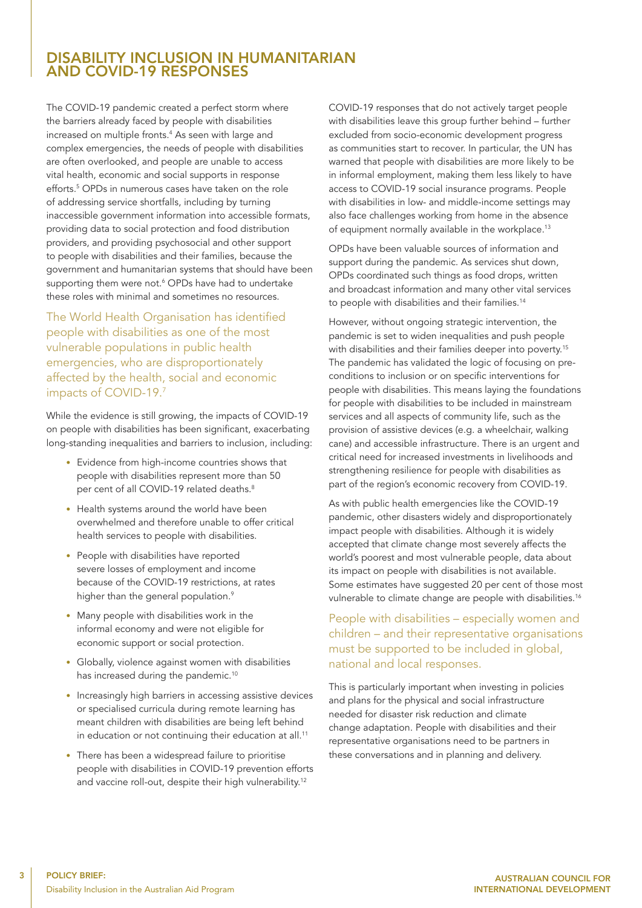## DISABILITY INCLUSION IN HUMANITARIAN AND COVID-19 RESPONSES

The COVID-19 pandemic created a perfect storm where the barriers already faced by people with disabilities increased on multiple fronts.4 As seen with large and complex emergencies, the needs of people with disabilities are often overlooked, and people are unable to access vital health, economic and social supports in response efforts.5 OPDs in numerous cases have taken on the role of addressing service shortfalls, including by turning inaccessible government information into accessible formats, providing data to social protection and food distribution providers, and providing psychosocial and other support to people with disabilities and their families, because the government and humanitarian systems that should have been supporting them were not.<sup>6</sup> OPDs have had to undertake these roles with minimal and sometimes no resources.

The World Health Organisation has identified people with disabilities as one of the most vulnerable populations in public health emergencies, who are disproportionately affected by the health, social and economic impacts of COVID-19.7

While the evidence is still growing, the impacts of COVID-19 on people with disabilities has been significant, exacerbating long-standing inequalities and barriers to inclusion, including:

- Evidence from high-income countries shows that people with disabilities represent more than 50 per cent of all COVID-19 related deaths.<sup>8</sup>
- Health systems around the world have been overwhelmed and therefore unable to offer critical health services to people with disabilities.
- People with disabilities have reported severe losses of employment and income because of the COVID-19 restrictions, at rates higher than the general population.<sup>9</sup>
- Many people with disabilities work in the informal economy and were not eligible for economic support or social protection.
- Globally, violence against women with disabilities has increased during the pandemic.<sup>10</sup>
- Increasingly high barriers in accessing assistive devices or specialised curricula during remote learning has meant children with disabilities are being left behind in education or not continuing their education at all.<sup>11</sup>
- There has been a widespread failure to prioritise people with disabilities in COVID-19 prevention efforts and vaccine roll-out, despite their high vulnerability.<sup>12</sup>

COVID-19 responses that do not actively target people with disabilities leave this group further behind – further excluded from socio-economic development progress as communities start to recover. In particular, the UN has warned that people with disabilities are more likely to be in informal employment, making them less likely to have access to COVID-19 social insurance programs. People with disabilities in low- and middle-income settings may also face challenges working from home in the absence of equipment normally available in the workplace.<sup>13</sup>

OPDs have been valuable sources of information and support during the pandemic. As services shut down, OPDs coordinated such things as food drops, written and broadcast information and many other vital services to people with disabilities and their families.<sup>14</sup>

However, without ongoing strategic intervention, the pandemic is set to widen inequalities and push people with disabilities and their families deeper into poverty.<sup>15</sup> The pandemic has validated the logic of focusing on preconditions to inclusion or on specific interventions for people with disabilities. This means laying the foundations for people with disabilities to be included in mainstream services and all aspects of community life, such as the provision of assistive devices (e.g. a wheelchair, walking cane) and accessible infrastructure. There is an urgent and critical need for increased investments in livelihoods and strengthening resilience for people with disabilities as part of the region's economic recovery from COVID-19.

As with public health emergencies like the COVID-19 pandemic, other disasters widely and disproportionately impact people with disabilities. Although it is widely accepted that climate change most severely affects the world's poorest and most vulnerable people, data about its impact on people with disabilities is not available. Some estimates have suggested 20 per cent of those most vulnerable to climate change are people with disabilities.<sup>16</sup>

People with disabilities – especially women and children – and their representative organisations must be supported to be included in global, national and local responses.

This is particularly important when investing in policies and plans for the physical and social infrastructure needed for disaster risk reduction and climate change adaptation. People with disabilities and their representative organisations need to be partners in these conversations and in planning and delivery.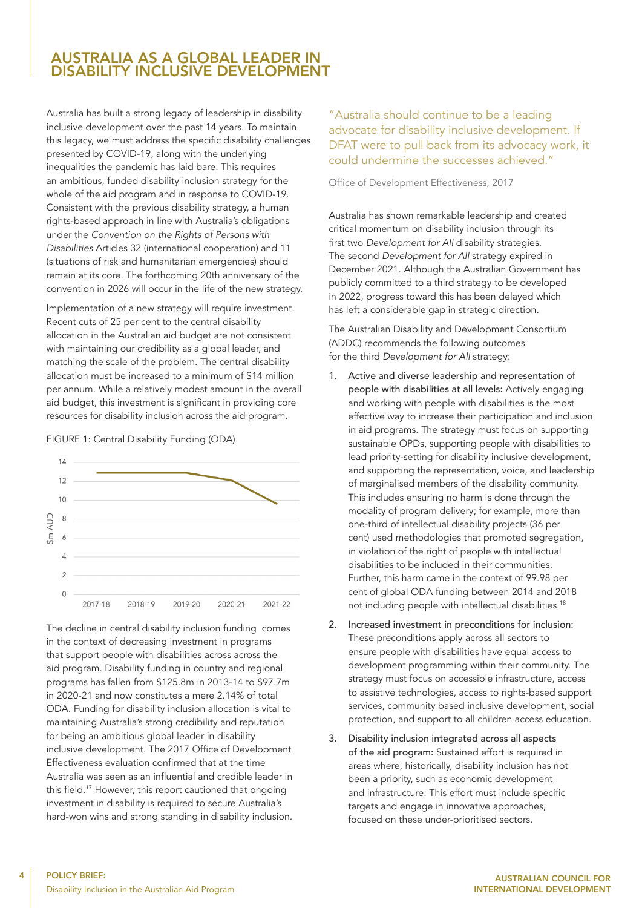## AUSTRALIA AS A GLOBAL LEADER IN DISABILITY INCLUSIVE DEVELOPMENT

Australia has built a strong legacy of leadership in disability inclusive development over the past 14 years. To maintain this legacy, we must address the specific disability challenges presented by COVID-19, along with the underlying inequalities the pandemic has laid bare. This requires an ambitious, funded disability inclusion strategy for the whole of the aid program and in response to COVID-19. Consistent with the previous disability strategy, a human rights-based approach in line with Australia's obligations under the Convention on the Rights of Persons with Disabilities Articles 32 (international cooperation) and 11 (situations of risk and humanitarian emergencies) should remain at its core. The forthcoming 20th anniversary of the convention in 2026 will occur in the life of the new strategy.

Implementation of a new strategy will require investment. Recent cuts of 25 per cent to the central disability allocation in the Australian aid budget are not consistent with maintaining our credibility as a global leader, and matching the scale of the problem. The central disability allocation must be increased to a minimum of \$14 million per annum. While a relatively modest amount in the overall aid budget, this investment is significant in providing core resources for disability inclusion across the aid program.

FIGURE 1: Central Disability Funding (ODA)



The decline in central disability inclusion funding comes in the context of decreasing investment in programs that support people with disabilities across across the aid program. Disability funding in country and regional programs has fallen from \$125.8m in 2013-14 to \$97.7m in 2020-21 and now constitutes a mere 2.14% of total ODA. Funding for disability inclusion allocation is vital to maintaining Australia's strong credibility and reputation for being an ambitious global leader in disability inclusive development. The 2017 Office of Development Effectiveness evaluation confirmed that at the time Australia was seen as an influential and credible leader in this field.17 However, this report cautioned that ongoing investment in disability is required to secure Australia's hard-won wins and strong standing in disability inclusion. "Australia should continue to be a leading advocate for disability inclusive development. If DFAT were to pull back from its advocacy work, it could undermine the successes achieved."

Office of Development Effectiveness, 2017

Australia has shown remarkable leadership and created critical momentum on disability inclusion through its first two *Development for All* disability strategies. The second *Development for All* strategy expired in December 2021. Although the Australian Government has publicly committed to a third strategy to be developed in 2022, progress toward this has been delayed which has left a considerable gap in strategic direction.

The Australian Disability and Development Consortium (ADDC) recommends the following outcomes for the third *Development for All* strategy:

- 1. Active and diverse leadership and representation of people with disabilities at all levels: Actively engaging and working with people with disabilities is the most effective way to increase their participation and inclusion in aid programs. The strategy must focus on supporting sustainable OPDs, supporting people with disabilities to lead priority-setting for disability inclusive development, and supporting the representation, voice, and leadership of marginalised members of the disability community. This includes ensuring no harm is done through the modality of program delivery; for example, more than one-third of intellectual disability projects (36 per cent) used methodologies that promoted segregation, in violation of the right of people with intellectual disabilities to be included in their communities. Further, this harm came in the context of 99.98 per cent of global ODA funding between 2014 and 2018 not including people with intellectual disabilities.<sup>18</sup>
- 2. Increased investment in preconditions for inclusion: These preconditions apply across all sectors to ensure people with disabilities have equal access to development programming within their community. The strategy must focus on accessible infrastructure, access to assistive technologies, access to rights-based support services, community based inclusive development, social protection, and support to all children access education.
- 3. Disability inclusion integrated across all aspects of the aid program: Sustained effort is required in areas where, historically, disability inclusion has not been a priority, such as economic development and infrastructure. This effort must include specific targets and engage in innovative approaches, focused on these under-prioritised sectors.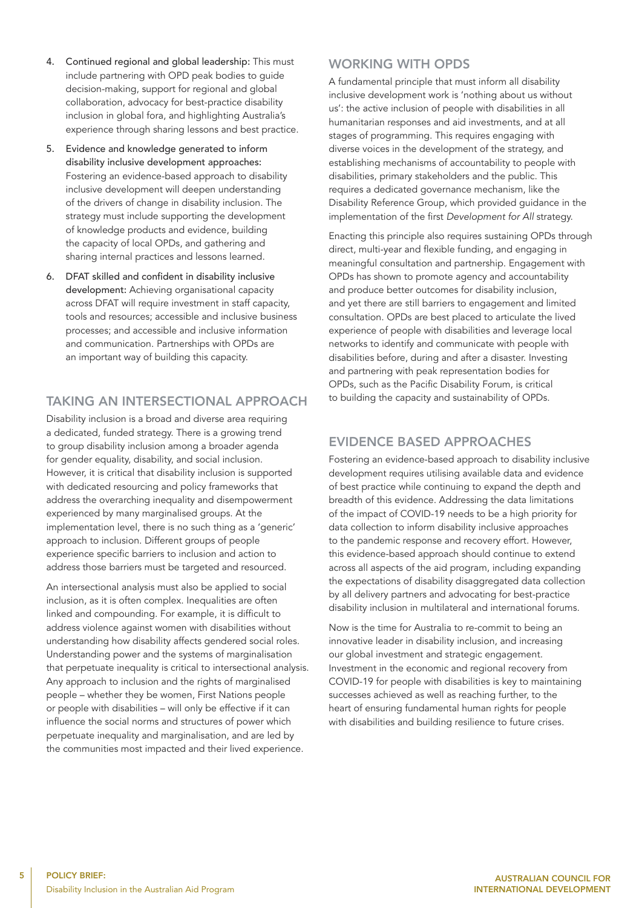- 4. Continued regional and global leadership: This must include partnering with OPD peak bodies to guide decision-making, support for regional and global collaboration, advocacy for best-practice disability inclusion in global fora, and highlighting Australia's experience through sharing lessons and best practice.
- 5. Evidence and knowledge generated to inform disability inclusive development approaches: Fostering an evidence-based approach to disability inclusive development will deepen understanding of the drivers of change in disability inclusion. The strategy must include supporting the development of knowledge products and evidence, building the capacity of local OPDs, and gathering and sharing internal practices and lessons learned.
- 6. DFAT skilled and confident in disability inclusive development: Achieving organisational capacity across DFAT will require investment in staff capacity, tools and resources; accessible and inclusive business processes; and accessible and inclusive information and communication. Partnerships with OPDs are an important way of building this capacity.

### TAKING AN INTERSECTIONAL APPROACH

Disability inclusion is a broad and diverse area requiring a dedicated, funded strategy. There is a growing trend to group disability inclusion among a broader agenda for gender equality, disability, and social inclusion. However, it is critical that disability inclusion is supported with dedicated resourcing and policy frameworks that address the overarching inequality and disempowerment experienced by many marginalised groups. At the implementation level, there is no such thing as a 'generic' approach to inclusion. Different groups of people experience specific barriers to inclusion and action to address those barriers must be targeted and resourced.

An intersectional analysis must also be applied to social inclusion, as it is often complex. Inequalities are often linked and compounding. For example, it is difficult to address violence against women with disabilities without understanding how disability affects gendered social roles. Understanding power and the systems of marginalisation that perpetuate inequality is critical to intersectional analysis. Any approach to inclusion and the rights of marginalised people – whether they be women, First Nations people or people with disabilities – will only be effective if it can influence the social norms and structures of power which perpetuate inequality and marginalisation, and are led by the communities most impacted and their lived experience.

## WORKING WITH OPDS

A fundamental principle that must inform all disability inclusive development work is 'nothing about us without us': the active inclusion of people with disabilities in all humanitarian responses and aid investments, and at all stages of programming. This requires engaging with diverse voices in the development of the strategy, and establishing mechanisms of accountability to people with disabilities, primary stakeholders and the public. This requires a dedicated governance mechanism, like the Disability Reference Group, which provided guidance in the implementation of the first *Development for All* strategy.

Enacting this principle also requires sustaining OPDs through direct, multi-year and flexible funding, and engaging in meaningful consultation and partnership. Engagement with OPDs has shown to promote agency and accountability and produce better outcomes for disability inclusion, and yet there are still barriers to engagement and limited consultation. OPDs are best placed to articulate the lived experience of people with disabilities and leverage local networks to identify and communicate with people with disabilities before, during and after a disaster. Investing and partnering with peak representation bodies for OPDs, such as the Pacific Disability Forum, is critical to building the capacity and sustainability of OPDs.

## EVIDENCE BASED APPROACHES

Fostering an evidence-based approach to disability inclusive development requires utilising available data and evidence of best practice while continuing to expand the depth and breadth of this evidence. Addressing the data limitations of the impact of COVID-19 needs to be a high priority for data collection to inform disability inclusive approaches to the pandemic response and recovery effort. However, this evidence-based approach should continue to extend across all aspects of the aid program, including expanding the expectations of disability disaggregated data collection by all delivery partners and advocating for best-practice disability inclusion in multilateral and international forums.

Now is the time for Australia to re-commit to being an innovative leader in disability inclusion, and increasing our global investment and strategic engagement. Investment in the economic and regional recovery from COVID-19 for people with disabilities is key to maintaining successes achieved as well as reaching further, to the heart of ensuring fundamental human rights for people with disabilities and building resilience to future crises.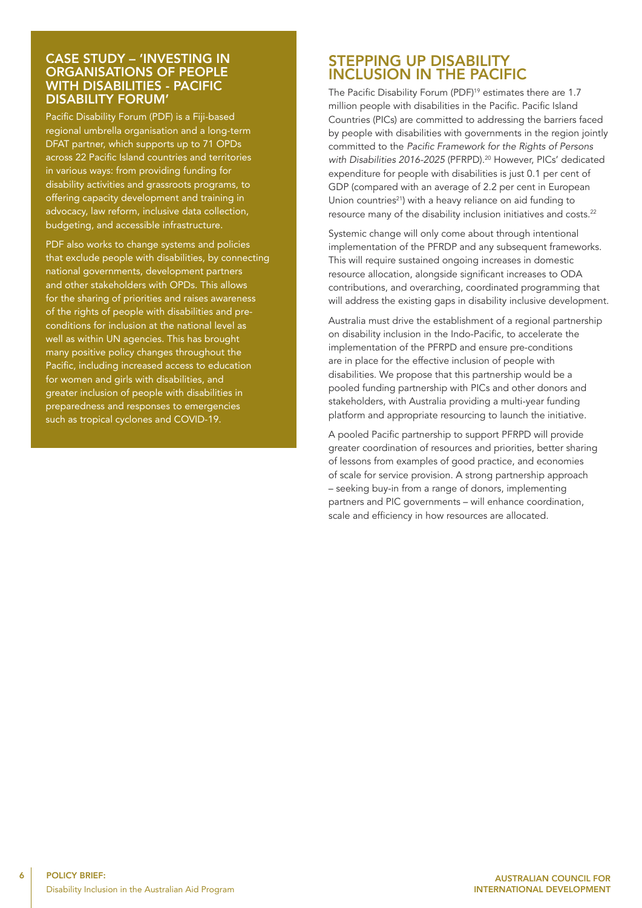#### CASE STUDY – 'INVESTING IN ORGANISATIONS OF PEOPLE WITH DISABILITIES - PACIFIC DISABILITY FORUM'

Pacific Disability Forum (PDF) is a Fiji-based regional umbrella organisation and a long-term DFAT partner, which supports up to 71 OPDs across 22 Pacific Island countries and territories in various ways: from providing funding for disability activities and grassroots programs, to offering capacity development and training in advocacy, law reform, inclusive data collection, budgeting, and accessible infrastructure.

PDF also works to change systems and policies that exclude people with disabilities, by connecting national governments, development partners and other stakeholders with OPDs. This allows for the sharing of priorities and raises awareness of the rights of people with disabilities and preconditions for inclusion at the national level as well as within UN agencies. This has brought many positive policy changes throughout the Pacific, including increased access to education for women and girls with disabilities, and greater inclusion of people with disabilities in preparedness and responses to emergencies such as tropical cyclones and COVID-19.

## STEPPING UP DISABILITY INCLUSION IN THE PACIFIC

The Pacific Disability Forum (PDF)<sup>19</sup> estimates there are 1.7 million people with disabilities in the Pacific. Pacific Island Countries (PICs) are committed to addressing the barriers faced by people with disabilities with governments in the region jointly committed to the Pacific Framework for the Rights of Persons with Disabilities 2016-2025 (PFRPD).<sup>20</sup> However, PICs' dedicated expenditure for people with disabilities is just 0.1 per cent of GDP (compared with an average of 2.2 per cent in European Union countries $^{21}$ ) with a heavy reliance on aid funding to resource many of the disability inclusion initiatives and costs.22

Systemic change will only come about through intentional implementation of the PFRDP and any subsequent frameworks. This will require sustained ongoing increases in domestic resource allocation, alongside significant increases to ODA contributions, and overarching, coordinated programming that will address the existing gaps in disability inclusive development.

Australia must drive the establishment of a regional partnership on disability inclusion in the Indo-Pacific, to accelerate the implementation of the PFRPD and ensure pre-conditions are in place for the effective inclusion of people with disabilities. We propose that this partnership would be a pooled funding partnership with PICs and other donors and stakeholders, with Australia providing a multi-year funding platform and appropriate resourcing to launch the initiative.

A pooled Pacific partnership to support PFRPD will provide greater coordination of resources and priorities, better sharing of lessons from examples of good practice, and economies of scale for service provision. A strong partnership approach – seeking buy-in from a range of donors, implementing partners and PIC governments – will enhance coordination, scale and efficiency in how resources are allocated.